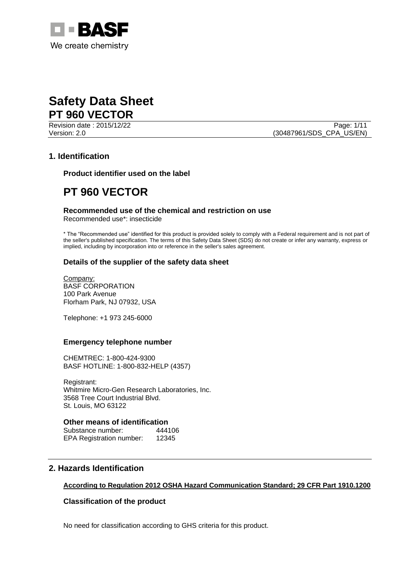

Page: 1/11

Version: 2.0 (30487961/SDS\_CPA\_US/EN)

# **1. Identification**

**Product identifier used on the label**

# **PT 960 VECTOR**

# **Recommended use of the chemical and restriction on use**

Recommended use\*: insecticide

\* The "Recommended use" identified for this product is provided solely to comply with a Federal requirement and is not part of the seller's published specification. The terms of this Safety Data Sheet (SDS) do not create or infer any warranty, express or implied, including by incorporation into or reference in the seller's sales agreement.

# **Details of the supplier of the safety data sheet**

Company: BASF CORPORATION 100 Park Avenue Florham Park, NJ 07932, USA

Telephone: +1 973 245-6000

### **Emergency telephone number**

CHEMTREC: 1-800-424-9300 BASF HOTLINE: 1-800-832-HELP (4357)

Registrant: Whitmire Micro-Gen Research Laboratories, Inc. 3568 Tree Court Industrial Blvd. St. Louis, MO 63122

## **Other means of identification**

Substance number: 444106 EPA Registration number: 12345

# **2. Hazards Identification**

### **According to Regulation 2012 OSHA Hazard Communication Standard; 29 CFR Part 1910.1200**

# **Classification of the product**

No need for classification according to GHS criteria for this product.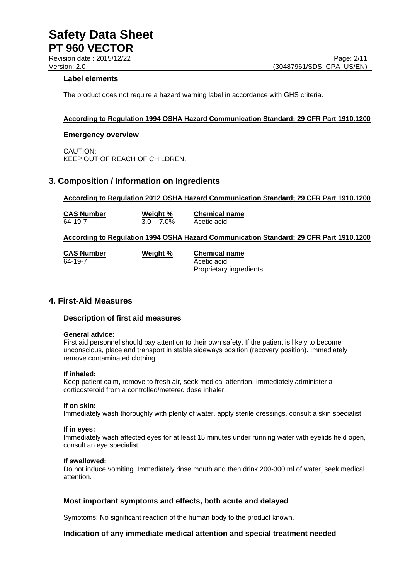Revision date : 2015/12/22 Page: 2/11

## **Label elements**

The product does not require a hazard warning label in accordance with GHS criteria.

## **According to Regulation 1994 OSHA Hazard Communication Standard; 29 CFR Part 1910.1200**

### **Emergency overview**

CAUTION: KEEP OUT OF REACH OF CHILDREN.

# **3. Composition / Information on Ingredients**

## **According to Regulation 2012 OSHA Hazard Communication Standard; 29 CFR Part 1910.1200**

**CAS Number Weight % Chemical name** 64-19-7 3.0 - 7.0% Acetic acid

## **According to Regulation 1994 OSHA Hazard Communication Standard; 29 CFR Part 1910.1200**

| <b>CAS Number</b> | Weight % | <b>Chemical name</b>    |
|-------------------|----------|-------------------------|
| 64-19-7           |          | Acetic acid             |
|                   |          | Proprietary ingredients |

# **4. First-Aid Measures**

### **Description of first aid measures**

#### **General advice:**

First aid personnel should pay attention to their own safety. If the patient is likely to become unconscious, place and transport in stable sideways position (recovery position). Immediately remove contaminated clothing.

### **If inhaled:**

Keep patient calm, remove to fresh air, seek medical attention. Immediately administer a corticosteroid from a controlled/metered dose inhaler.

#### **If on skin:**

Immediately wash thoroughly with plenty of water, apply sterile dressings, consult a skin specialist.

#### **If in eyes:**

Immediately wash affected eyes for at least 15 minutes under running water with eyelids held open, consult an eye specialist.

#### **If swallowed:**

Do not induce vomiting. Immediately rinse mouth and then drink 200-300 ml of water, seek medical attention.

### **Most important symptoms and effects, both acute and delayed**

Symptoms: No significant reaction of the human body to the product known.

### **Indication of any immediate medical attention and special treatment needed**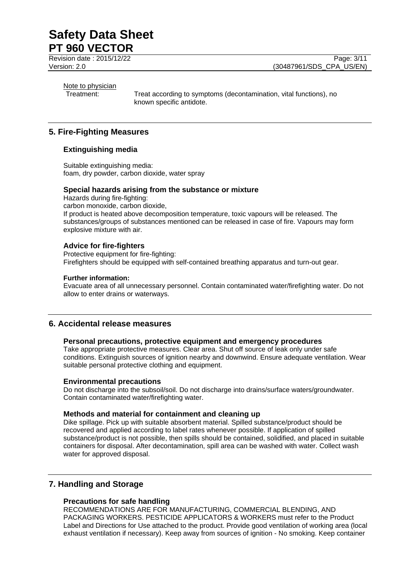Revision date : 2015/12/22 Page: 3/11

# Note to physician

Treatment: Treat according to symptoms (decontamination, vital functions), no known specific antidote.

# **5. Fire-Fighting Measures**

# **Extinguishing media**

Suitable extinguishing media: foam, dry powder, carbon dioxide, water spray

## **Special hazards arising from the substance or mixture**

Hazards during fire-fighting: carbon monoxide, carbon dioxide, If product is heated above decomposition temperature, toxic vapours will be released. The substances/groups of substances mentioned can be released in case of fire. Vapours may form explosive mixture with air.

# **Advice for fire-fighters**

Protective equipment for fire-fighting: Firefighters should be equipped with self-contained breathing apparatus and turn-out gear.

### **Further information:**

Evacuate area of all unnecessary personnel. Contain contaminated water/firefighting water. Do not allow to enter drains or waterways.

# **6. Accidental release measures**

### **Personal precautions, protective equipment and emergency procedures**

Take appropriate protective measures. Clear area. Shut off source of leak only under safe conditions. Extinguish sources of ignition nearby and downwind. Ensure adequate ventilation. Wear suitable personal protective clothing and equipment.

# **Environmental precautions**

Do not discharge into the subsoil/soil. Do not discharge into drains/surface waters/groundwater. Contain contaminated water/firefighting water.

# **Methods and material for containment and cleaning up**

Dike spillage. Pick up with suitable absorbent material. Spilled substance/product should be recovered and applied according to label rates whenever possible. If application of spilled substance/product is not possible, then spills should be contained, solidified, and placed in suitable containers for disposal. After decontamination, spill area can be washed with water. Collect wash water for approved disposal.

# **7. Handling and Storage**

# **Precautions for safe handling**

RECOMMENDATIONS ARE FOR MANUFACTURING, COMMERCIAL BLENDING, AND PACKAGING WORKERS. PESTICIDE APPLICATORS & WORKERS must refer to the Product Label and Directions for Use attached to the product. Provide good ventilation of working area (local exhaust ventilation if necessary). Keep away from sources of ignition - No smoking. Keep container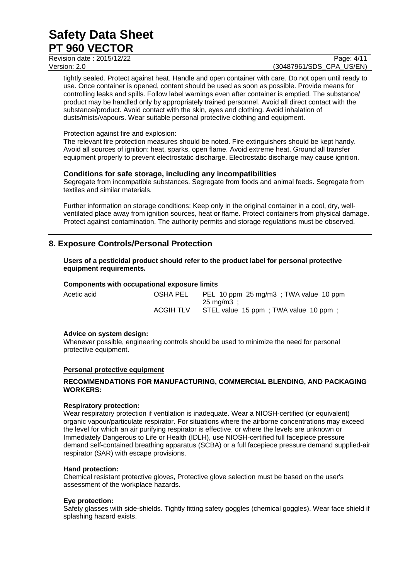Revision date : 2015/12/22 Page: 4/11

# Version: 2.0 **(30487961/SDS\_CPA\_US/EN)**

tightly sealed. Protect against heat. Handle and open container with care. Do not open until ready to use. Once container is opened, content should be used as soon as possible. Provide means for controlling leaks and spills. Follow label warnings even after container is emptied. The substance/ product may be handled only by appropriately trained personnel. Avoid all direct contact with the substance/product. Avoid contact with the skin, eyes and clothing. Avoid inhalation of dusts/mists/vapours. Wear suitable personal protective clothing and equipment.

## Protection against fire and explosion:

The relevant fire protection measures should be noted. Fire extinguishers should be kept handy. Avoid all sources of ignition: heat, sparks, open flame. Avoid extreme heat. Ground all transfer equipment properly to prevent electrostatic discharge. Electrostatic discharge may cause ignition.

# **Conditions for safe storage, including any incompatibilities**

Segregate from incompatible substances. Segregate from foods and animal feeds. Segregate from textiles and similar materials.

Further information on storage conditions: Keep only in the original container in a cool, dry, wellventilated place away from ignition sources, heat or flame. Protect containers from physical damage. Protect against contamination. The authority permits and storage regulations must be observed.

# **8. Exposure Controls/Personal Protection**

**Users of a pesticidal product should refer to the product label for personal protective equipment requirements.**

### **Components with occupational exposure limits**

| Acetic acid | OSHA PEL  | PEL 10 ppm 25 mg/m3; TWA value 10 ppm |
|-------------|-----------|---------------------------------------|
|             |           | 25 mg/m3 :                            |
|             | ACGIH TLV | STEL value 15 ppm; TWA value 10 ppm;  |

### **Advice on system design:**

Whenever possible, engineering controls should be used to minimize the need for personal protective equipment.

### **Personal protective equipment**

## **RECOMMENDATIONS FOR MANUFACTURING, COMMERCIAL BLENDING, AND PACKAGING WORKERS:**

### **Respiratory protection:**

Wear respiratory protection if ventilation is inadequate. Wear a NIOSH-certified (or equivalent) organic vapour/particulate respirator. For situations where the airborne concentrations may exceed the level for which an air purifying respirator is effective, or where the levels are unknown or Immediately Dangerous to Life or Health (IDLH), use NIOSH-certified full facepiece pressure demand self-contained breathing apparatus (SCBA) or a full facepiece pressure demand supplied-air respirator (SAR) with escape provisions.

### **Hand protection:**

Chemical resistant protective gloves, Protective glove selection must be based on the user's assessment of the workplace hazards.

### **Eye protection:**

Safety glasses with side-shields. Tightly fitting safety goggles (chemical goggles). Wear face shield if splashing hazard exists.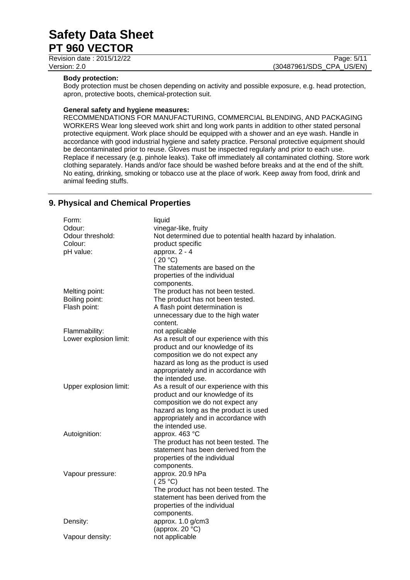Revision date : 2015/12/22 Page: 5/11

Version: 2.0 **(30487961/SDS\_CPA\_US/EN)** 

## **Body protection:**

Body protection must be chosen depending on activity and possible exposure, e.g. head protection, apron, protective boots, chemical-protection suit.

## **General safety and hygiene measures:**

RECOMMENDATIONS FOR MANUFACTURING, COMMERCIAL BLENDING, AND PACKAGING WORKERS Wear long sleeved work shirt and long work pants in addition to other stated personal protective equipment. Work place should be equipped with a shower and an eye wash. Handle in accordance with good industrial hygiene and safety practice. Personal protective equipment should be decontaminated prior to reuse. Gloves must be inspected regularly and prior to each use. Replace if necessary (e.g. pinhole leaks). Take off immediately all contaminated clothing. Store work clothing separately. Hands and/or face should be washed before breaks and at the end of the shift. No eating, drinking, smoking or tobacco use at the place of work. Keep away from food, drink and animal feeding stuffs.

# **9. Physical and Chemical Properties**

| Form:                  | liquid                                                       |
|------------------------|--------------------------------------------------------------|
| Odour:                 | vinegar-like, fruity                                         |
| Odour threshold:       | Not determined due to potential health hazard by inhalation. |
| Colour:                | product specific                                             |
| pH value:              | approx. $2 - 4$                                              |
|                        | (20 °C)                                                      |
|                        | The statements are based on the                              |
|                        | properties of the individual                                 |
|                        | components.                                                  |
| Melting point:         | The product has not been tested.                             |
| Boiling point:         | The product has not been tested.                             |
| Flash point:           | A flash point determination is                               |
|                        | unnecessary due to the high water                            |
|                        | content.                                                     |
| Flammability:          | not applicable                                               |
| Lower explosion limit: | As a result of our experience with this                      |
|                        | product and our knowledge of its                             |
|                        | composition we do not expect any                             |
|                        | hazard as long as the product is used                        |
|                        | appropriately and in accordance with                         |
|                        | the intended use.                                            |
| Upper explosion limit: | As a result of our experience with this                      |
|                        | product and our knowledge of its                             |
|                        | composition we do not expect any                             |
|                        | hazard as long as the product is used                        |
|                        | appropriately and in accordance with                         |
|                        | the intended use.                                            |
| Autoignition:          | approx. 463 °C                                               |
|                        | The product has not been tested. The                         |
|                        | statement has been derived from the                          |
|                        | properties of the individual                                 |
|                        | components.                                                  |
| Vapour pressure:       | approx. 20.9 hPa                                             |
|                        | (25 °C)                                                      |
|                        | The product has not been tested. The                         |
|                        | statement has been derived from the                          |
|                        | properties of the individual                                 |
|                        | components.                                                  |
| Density:               | approx. 1.0 g/cm3                                            |
|                        | (approx. $20 °C$ )                                           |
| Vapour density:        | not applicable                                               |
|                        |                                                              |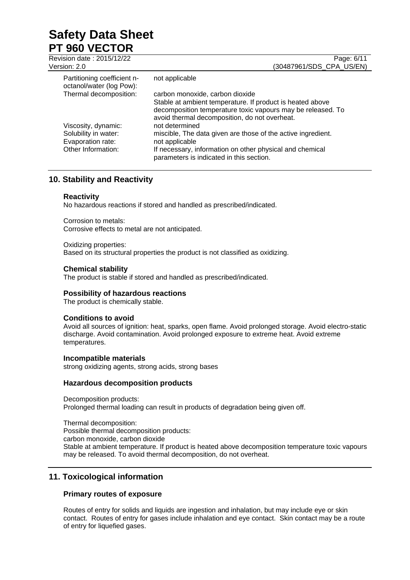| Revision date: 2015/12/22<br>Version: 2.0               | Page: 6/11<br>(30487961/SDS_CPA_US/EN)                                                                                                                                    |
|---------------------------------------------------------|---------------------------------------------------------------------------------------------------------------------------------------------------------------------------|
| Partitioning coefficient n-<br>octanol/water (log Pow): | not applicable                                                                                                                                                            |
| Thermal decomposition:                                  | carbon monoxide, carbon dioxide                                                                                                                                           |
|                                                         | Stable at ambient temperature. If product is heated above<br>decomposition temperature toxic vapours may be released. To<br>avoid thermal decomposition, do not overheat. |
| Viscosity, dynamic:                                     | not determined                                                                                                                                                            |
| Solubility in water:                                    | miscible, The data given are those of the active ingredient.                                                                                                              |
| Evaporation rate:                                       | not applicable                                                                                                                                                            |
| Other Information:                                      | If necessary, information on other physical and chemical<br>parameters is indicated in this section.                                                                      |

# **10. Stability and Reactivity**

# **Reactivity**

No hazardous reactions if stored and handled as prescribed/indicated.

Corrosion to metals: Corrosive effects to metal are not anticipated.

Oxidizing properties: Based on its structural properties the product is not classified as oxidizing.

# **Chemical stability**

The product is stable if stored and handled as prescribed/indicated.

## **Possibility of hazardous reactions**

The product is chemically stable.

# **Conditions to avoid**

Avoid all sources of ignition: heat, sparks, open flame. Avoid prolonged storage. Avoid electro-static discharge. Avoid contamination. Avoid prolonged exposure to extreme heat. Avoid extreme temperatures.

### **Incompatible materials**

strong oxidizing agents, strong acids, strong bases

### **Hazardous decomposition products**

Decomposition products: Prolonged thermal loading can result in products of degradation being given off.

Thermal decomposition: Possible thermal decomposition products: carbon monoxide, carbon dioxide Stable at ambient temperature. If product is heated above decomposition temperature toxic vapours may be released. To avoid thermal decomposition, do not overheat.

# **11. Toxicological information**

# **Primary routes of exposure**

Routes of entry for solids and liquids are ingestion and inhalation, but may include eye or skin contact. Routes of entry for gases include inhalation and eye contact. Skin contact may be a route of entry for liquefied gases.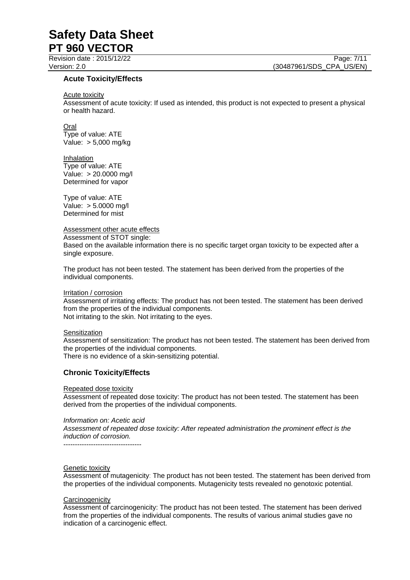Revision date : 2015/12/22 Page: 7/11

## **Acute Toxicity/Effects**

#### Acute toxicity

Assessment of acute toxicity: If used as intended, this product is not expected to present a physical or health hazard.

Oral

Type of value: ATE Value: > 5,000 mg/kg

Inhalation Type of value: ATE Value: > 20.0000 mg/l Determined for vapor

Type of value: ATE Value: > 5.0000 mg/l Determined for mist

Assessment other acute effects

Assessment of STOT single: Based on the available information there is no specific target organ toxicity to be expected after a single exposure.

The product has not been tested. The statement has been derived from the properties of the individual components.

#### Irritation / corrosion

Assessment of irritating effects: The product has not been tested. The statement has been derived from the properties of the individual components. Not irritating to the skin. Not irritating to the eyes.

#### **Sensitization**

Assessment of sensitization: The product has not been tested. The statement has been derived from the properties of the individual components.

There is no evidence of a skin-sensitizing potential.

# **Chronic Toxicity/Effects**

#### Repeated dose toxicity

Assessment of repeated dose toxicity: The product has not been tested. The statement has been derived from the properties of the individual components.

### *Information on: Acetic acid*

*Assessment of repeated dose toxicity: After repeated administration the prominent effect is the induction of corrosion.*

#### Genetic toxicity

Assessment of mutagenicity: The product has not been tested. The statement has been derived from the properties of the individual components. Mutagenicity tests revealed no genotoxic potential.

#### **Carcinogenicity**

Assessment of carcinogenicity: The product has not been tested. The statement has been derived from the properties of the individual components. The results of various animal studies gave no indication of a carcinogenic effect.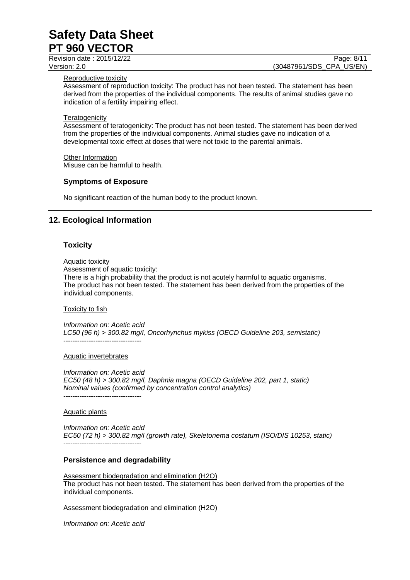Revision date : 2015/12/22 Page: 8/11

Version: 2.0 **(30487961/SDS\_CPA\_US/EN)** 

### Reproductive toxicity

Assessment of reproduction toxicity: The product has not been tested. The statement has been derived from the properties of the individual components. The results of animal studies gave no indication of a fertility impairing effect.

### **Teratogenicity**

Assessment of teratogenicity: The product has not been tested. The statement has been derived from the properties of the individual components. Animal studies gave no indication of a developmental toxic effect at doses that were not toxic to the parental animals.

#### Other Information Misuse can be harmful to health.

### **Symptoms of Exposure**

No significant reaction of the human body to the product known.

# **12. Ecological Information**

## **Toxicity**

Aquatic toxicity

Assessment of aquatic toxicity:

There is a high probability that the product is not acutely harmful to aquatic organisms. The product has not been tested. The statement has been derived from the properties of the individual components.

### Toxicity to fish

*Information on: Acetic acid LC50 (96 h) > 300.82 mg/l, Oncorhynchus mykiss (OECD Guideline 203, semistatic)* ----------------------------------

### Aquatic invertebrates

*Information on: Acetic acid EC50 (48 h) > 300.82 mg/l, Daphnia magna (OECD Guideline 202, part 1, static) Nominal values (confirmed by concentration control analytics)* ----------------------------------

### Aquatic plants

*Information on: Acetic acid EC50 (72 h) > 300.82 mg/l (growth rate), Skeletonema costatum (ISO/DIS 10253, static)* ----------------------------------

### **Persistence and degradability**

Assessment biodegradation and elimination (H2O) The product has not been tested. The statement has been derived from the properties of the individual components.

### Assessment biodegradation and elimination (H2O)

*Information on: Acetic acid*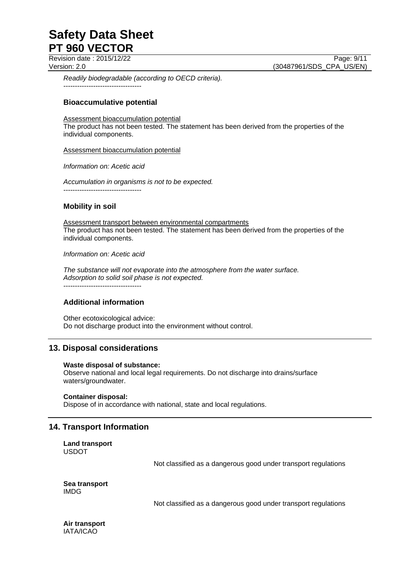Revision date : 2015/12/22 Page: 9/11

Version: 2.0 **(30487961/SDS\_CPA\_US/EN)** 

*Readily biodegradable (according to OECD criteria).* ----------------------------------

## **Bioaccumulative potential**

Assessment bioaccumulation potential

The product has not been tested. The statement has been derived from the properties of the individual components.

Assessment bioaccumulation potential

*Information on: Acetic acid*

*Accumulation in organisms is not to be expected.* ----------------------------------

# **Mobility in soil**

Assessment transport between environmental compartments The product has not been tested. The statement has been derived from the properties of the individual components.

*Information on: Acetic acid*

*The substance will not evaporate into the atmosphere from the water surface. Adsorption to solid soil phase is not expected.*

 $-$ 

# **Additional information**

Other ecotoxicological advice: Do not discharge product into the environment without control.

# **13. Disposal considerations**

### **Waste disposal of substance:**

Observe national and local legal requirements. Do not discharge into drains/surface waters/groundwater.

### **Container disposal:**

Dispose of in accordance with national, state and local regulations.

# **14. Transport Information**

**Land transport** USDOT

Not classified as a dangerous good under transport regulations

**Sea transport** IMDG

Not classified as a dangerous good under transport regulations

**Air transport** IATA/ICAO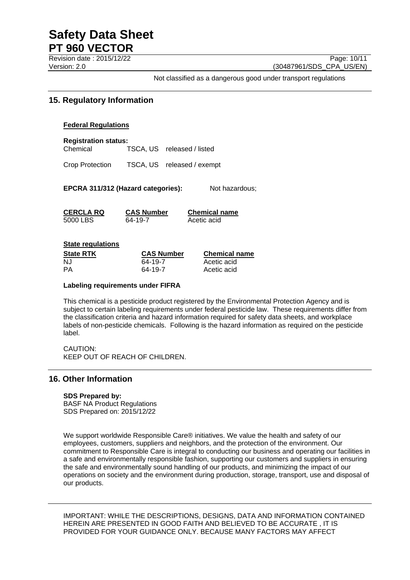Revision date : 2015/12/22 Page: 10/11 Version: 2.0 **(30487961/SDS\_CPA\_US/EN)** 

Not classified as a dangerous good under transport regulations

# **15. Regulatory Information**

### **Federal Regulations**

**Registration status:** Chemical TSCA, US released / listed

Crop Protection TSCA, US released / exempt

**EPCRA 311/312 (Hazard categories):** Not hazardous;

| CERCLA RQ  | <b>CAS Number</b> | <b>Chemical name</b> |
|------------|-------------------|----------------------|
| 5000 LBS . | 64-19-7           | Acetic acid          |

# **State regulations**

| State RTK | <b>CAS Number</b> | <b>Chemical name</b> |
|-----------|-------------------|----------------------|
| NJ        | 64-19-7           | Acetic acid          |
| PA        | 64-19-7           | Acetic acid          |

### **Labeling requirements under FIFRA**

This chemical is a pesticide product registered by the Environmental Protection Agency and is subject to certain labeling requirements under federal pesticide law. These requirements differ from the classification criteria and hazard information required for safety data sheets, and workplace labels of non-pesticide chemicals. Following is the hazard information as required on the pesticide label.

CAUTION: KEEP OUT OF REACH OF CHILDREN.

# **16. Other Information**

### **SDS Prepared by:**

BASF NA Product Regulations SDS Prepared on: 2015/12/22

We support worldwide Responsible Care® initiatives. We value the health and safety of our employees, customers, suppliers and neighbors, and the protection of the environment. Our commitment to Responsible Care is integral to conducting our business and operating our facilities in a safe and environmentally responsible fashion, supporting our customers and suppliers in ensuring the safe and environmentally sound handling of our products, and minimizing the impact of our operations on society and the environment during production, storage, transport, use and disposal of our products.

IMPORTANT: WHILE THE DESCRIPTIONS, DESIGNS, DATA AND INFORMATION CONTAINED HEREIN ARE PRESENTED IN GOOD FAITH AND BELIEVED TO BE ACCURATE , IT IS PROVIDED FOR YOUR GUIDANCE ONLY. BECAUSE MANY FACTORS MAY AFFECT